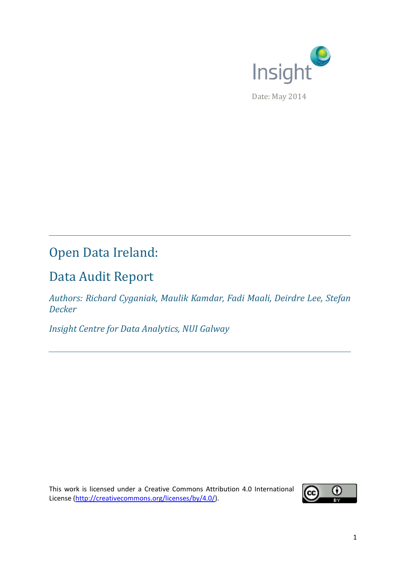

# Open Data Ireland:

# Data Audit Report

*Authors: Richard Cyganiak, Maulik Kamdar, Fadi Maali, Deirdre Lee, Stefan Decker*

*Insight Centre for Data Analytics, NUI Galway*

This work is licensed under a Creative Commons Attribution 4.0 International License [\(http://creativecommons.org/licenses/by/4.0/\)](http://creativecommons.org/licenses/by/4.0/).

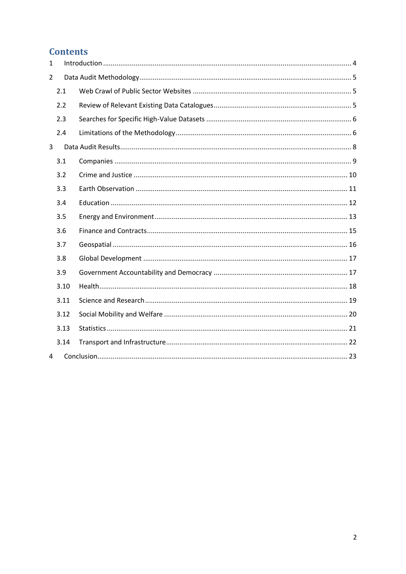## **Contents**

| $\mathbf{1}$   |      |  |
|----------------|------|--|
| $\overline{2}$ |      |  |
|                | 2.1  |  |
|                | 2.2  |  |
|                | 2.3  |  |
|                | 2.4  |  |
| 3              |      |  |
|                | 3.1  |  |
|                | 3.2  |  |
|                | 3.3  |  |
|                | 3.4  |  |
|                | 3.5  |  |
|                | 3.6  |  |
|                | 3.7  |  |
|                | 3.8  |  |
|                | 3.9  |  |
|                | 3.10 |  |
|                | 3.11 |  |
|                | 3.12 |  |
|                | 3.13 |  |
|                | 3.14 |  |
| 4              |      |  |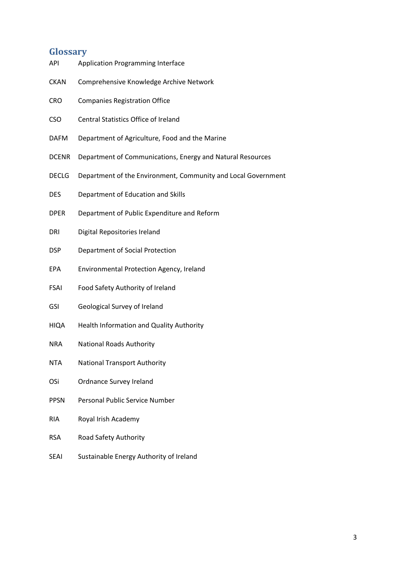## **Glossary**

| API          | <b>Application Programming Interface</b>                      |
|--------------|---------------------------------------------------------------|
| <b>CKAN</b>  | Comprehensive Knowledge Archive Network                       |
| CRO          | <b>Companies Registration Office</b>                          |
| <b>CSO</b>   | Central Statistics Office of Ireland                          |
| <b>DAFM</b>  | Department of Agriculture, Food and the Marine                |
| <b>DCENR</b> | Department of Communications, Energy and Natural Resources    |
| <b>DECLG</b> | Department of the Environment, Community and Local Government |
| DES          | Department of Education and Skills                            |
| <b>DPER</b>  | Department of Public Expenditure and Reform                   |
| dri          | Digital Repositories Ireland                                  |
| DSP          | Department of Social Protection                               |
| EPA          | Environmental Protection Agency, Ireland                      |
| FSAI         | Food Safety Authority of Ireland                              |
| GSI          | Geological Survey of Ireland                                  |
| HIQA         | Health Information and Quality Authority                      |
| <b>NRA</b>   | <b>National Roads Authority</b>                               |
| <b>NTA</b>   | <b>National Transport Authority</b>                           |
| OSi          | Ordnance Survey Ireland                                       |
| <b>PPSN</b>  | <b>Personal Public Service Number</b>                         |
| RIA          | Royal Irish Academy                                           |
| <b>RSA</b>   | Road Safety Authority                                         |

SEAI Sustainable Energy Authority of Ireland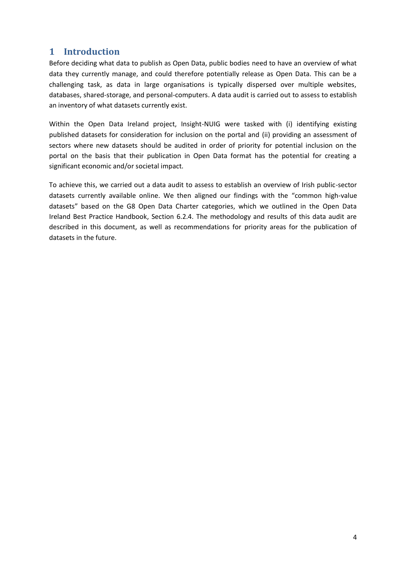## <span id="page-3-0"></span>**1 Introduction**

Before deciding what data to publish as Open Data, public bodies need to have an overview of what data they currently manage, and could therefore potentially release as Open Data. This can be a challenging task, as data in large organisations is typically dispersed over multiple websites, databases, shared-storage, and personal-computers. A data audit is carried out to assess to establish an inventory of what datasets currently exist.

Within the Open Data Ireland project, Insight-NUIG were tasked with (i) identifying existing published datasets for consideration for inclusion on the portal and (ii) providing an assessment of sectors where new datasets should be audited in order of priority for potential inclusion on the portal on the basis that their publication in Open Data format has the potential for creating a significant economic and/or societal impact.

To achieve this, we carried out a data audit to assess to establish an overview of Irish public-sector datasets currently available online. We then aligned our findings with the "common high-value datasets" based on the G8 Open Data Charter categories, which we outlined in the Open Data Ireland Best Practice Handbook, Section 6.2.4. The methodology and results of this data audit are described in this document, as well as recommendations for priority areas for the publication of datasets in the future.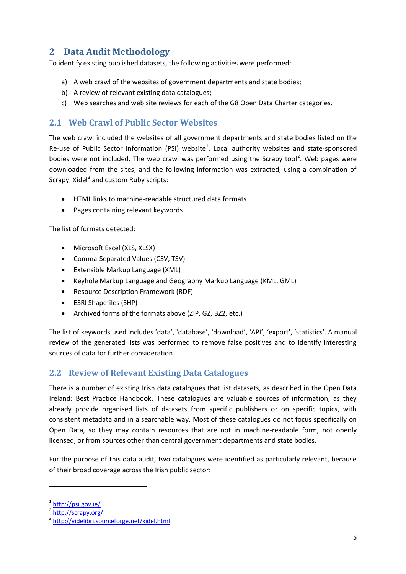## <span id="page-4-0"></span>**2 Data Audit Methodology**

To identify existing published datasets, the following activities were performed:

- a) A web crawl of the websites of government departments and state bodies;
- b) A review of relevant existing data catalogues;
- c) Web searches and web site reviews for each of the G8 Open Data Charter categories.

#### <span id="page-4-1"></span>**2.1 Web Crawl of Public Sector Websites**

The web crawl included the websites of all government departments and state bodies listed on the Re-use of Public Sector Information (PSI) website<sup>1</sup>. Local authority websites and state-sponsored bodies were not included. The web crawl was performed using the Scrapy tool<sup>2</sup>. Web pages were downloaded from the sites, and the following information was extracted, using a combination of Scrapy, Xidel<sup>3</sup> and custom Ruby scripts:

- HTML links to machine-readable structured data formats
- Pages containing relevant keywords

The list of formats detected:

- Microsoft Excel (XLS, XLSX)
- Comma-Separated Values (CSV, TSV)
- Extensible Markup Language (XML)
- Keyhole Markup Language and Geography Markup Language (KML, GML)
- **•** Resource Description Framework (RDF)
- ESRI Shapefiles (SHP)
- Archived forms of the formats above (ZIP, GZ, BZ2, etc.)

The list of keywords used includes 'data', 'database', 'download', 'API', 'export', 'statistics'. A manual review of the generated lists was performed to remove false positives and to identify interesting sources of data for further consideration.

#### <span id="page-4-2"></span>**2.2 Review of Relevant Existing Data Catalogues**

There is a number of existing Irish data catalogues that list datasets, as described in the Open Data Ireland: Best Practice Handbook. These catalogues are valuable sources of information, as they already provide organised lists of datasets from specific publishers or on specific topics, with consistent metadata and in a searchable way. Most of these catalogues do not focus specifically on Open Data, so they may contain resources that are not in machine-readable form, not openly licensed, or from sources other than central government departments and state bodies.

For the purpose of this data audit, two catalogues were identified as particularly relevant, because of their broad coverage across the Irish public sector:

.

<sup>&</sup>lt;sup>1</sup> <http://psi.gov.ie/>

<sup>&</sup>lt;sup>2</sup> <http://scrapy.org/>

<sup>&</sup>lt;sup>3</sup> <http://videlibri.sourceforge.net/xidel.html>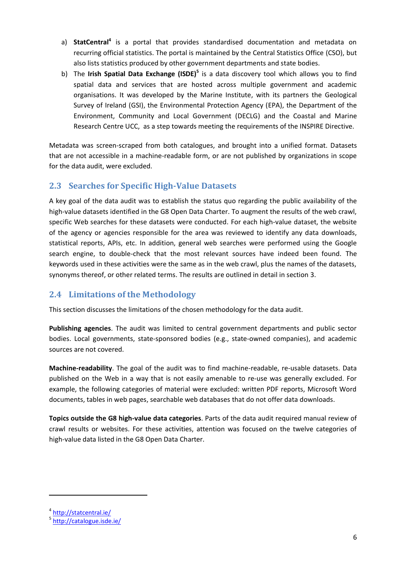- a) **StatCentral<sup>4</sup>** is a portal that provides standardised documentation and metadata on recurring official statistics. The portal is maintained by the Central Statistics Office (CSO), but also lists statistics produced by other government departments and state bodies.
- b) The **Irish Spatial Data Exchange (ISDE)<sup>5</sup>** is a data discovery tool which allows you to find spatial data and services that are hosted across multiple government and academic organisations. It was developed by the Marine Institute, with its partners the Geological Survey of Ireland (GSI), the Environmental Protection Agency (EPA), the Department of the Environment, Community and Local Government (DECLG) and the Coastal and Marine Research Centre UCC, as a step towards meeting the requirements of the INSPIRE Directive.

Metadata was screen-scraped from both catalogues, and brought into a unified format. Datasets that are not accessible in a machine-readable form, or are not published by organizations in scope for the data audit, were excluded.

## <span id="page-5-0"></span>**2.3 Searches for Specific High-Value Datasets**

A key goal of the data audit was to establish the status quo regarding the public availability of the high-value datasets identified in the G8 Open Data Charter. To augment the results of the web crawl, specific Web searches for these datasets were conducted. For each high-value dataset, the website of the agency or agencies responsible for the area was reviewed to identify any data downloads, statistical reports, APIs, etc. In addition, general web searches were performed using the Google search engine, to double-check that the most relevant sources have indeed been found. The keywords used in these activities were the same as in the web crawl, plus the names of the datasets, synonyms thereof, or other related terms. The results are outlined in detail in section [3.](#page-7-0)

## <span id="page-5-1"></span>**2.4 Limitations of the Methodology**

This section discusses the limitations of the chosen methodology for the data audit.

**Publishing agencies**. The audit was limited to central government departments and public sector bodies. Local governments, state-sponsored bodies (e.g., state-owned companies), and academic sources are not covered.

**Machine-readability**. The goal of the audit was to find machine-readable, re-usable datasets. Data published on the Web in a way that is not easily amenable to re-use was generally excluded. For example, the following categories of material were excluded: written PDF reports, Microsoft Word documents, tables in web pages, searchable web databases that do not offer data downloads.

**Topics outside the G8 high-value data categories**. Parts of the data audit required manual review of crawl results or websites. For these activities, attention was focused on the twelve categories of high-value data listed in the G8 Open Data Charter.

1

<sup>4</sup> <http://statcentral.ie/>

<sup>&</sup>lt;sup>5</sup> http://catalogue.isde.ie/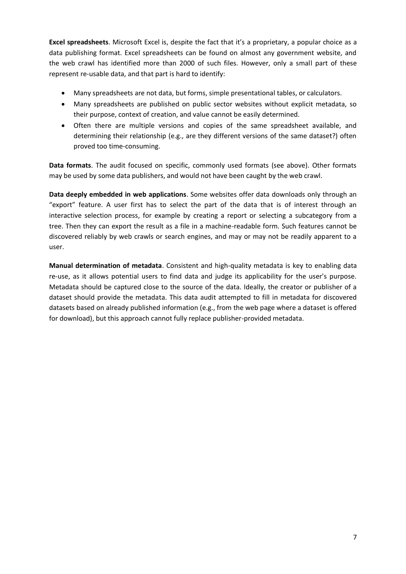**Excel spreadsheets**. Microsoft Excel is, despite the fact that it's a proprietary, a popular choice as a data publishing format. Excel spreadsheets can be found on almost any government website, and the web crawl has identified more than 2000 of such files. However, only a small part of these represent re-usable data, and that part is hard to identify:

- Many spreadsheets are not data, but forms, simple presentational tables, or calculators.
- Many spreadsheets are published on public sector websites without explicit metadata, so their purpose, context of creation, and value cannot be easily determined.
- Often there are multiple versions and copies of the same spreadsheet available, and determining their relationship (e.g., are they different versions of the same dataset?) often proved too time-consuming.

**Data formats**. The audit focused on specific, commonly used formats (see above). Other formats may be used by some data publishers, and would not have been caught by the web crawl.

**Data deeply embedded in web applications**. Some websites offer data downloads only through an "export" feature. A user first has to select the part of the data that is of interest through an interactive selection process, for example by creating a report or selecting a subcategory from a tree. Then they can export the result as a file in a machine-readable form. Such features cannot be discovered reliably by web crawls or search engines, and may or may not be readily apparent to a user.

**Manual determination of metadata**. Consistent and high-quality metadata is key to enabling data re-use, as it allows potential users to find data and judge its applicability for the user's purpose. Metadata should be captured close to the source of the data. Ideally, the creator or publisher of a dataset should provide the metadata. This data audit attempted to fill in metadata for discovered datasets based on already published information (e.g., from the web page where a dataset is offered for download), but this approach cannot fully replace publisher-provided metadata.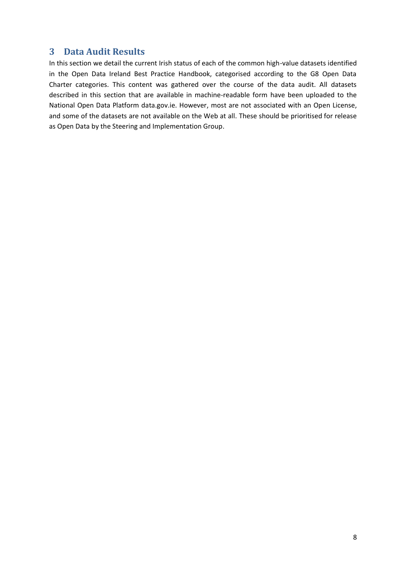## <span id="page-7-0"></span>**3 Data Audit Results**

In this section we detail the current Irish status of each of the common high-value datasets identified in the Open Data Ireland Best Practice Handbook, categorised according to the G8 Open Data Charter categories. This content was gathered over the course of the data audit. All datasets described in this section that are available in machine-readable form have been uploaded to the National Open Data Platform data.gov.ie. However, most are not associated with an Open License, and some of the datasets are not available on the Web at all. These should be prioritised for release as Open Data by the Steering and Implementation Group.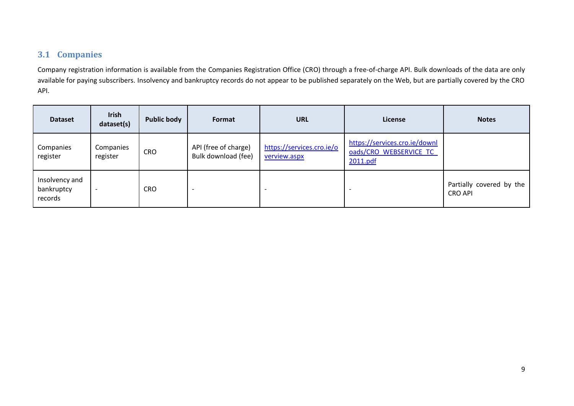## **3.1 Companies**

Company registration information is available from the Companies Registration Office (CRO) through a free-of-charge API. Bulk downloads of the data are only available for paying subscribers. Insolvency and bankruptcy records do not appear to be published separately on the Web, but are partially covered by the CRO API.

<span id="page-8-0"></span>

| <b>Dataset</b>                          | <b>Irish</b><br>dataset(s) | <b>Public body</b> | Format                                      | <b>URL</b>                                | License                                                             | <b>Notes</b>                               |
|-----------------------------------------|----------------------------|--------------------|---------------------------------------------|-------------------------------------------|---------------------------------------------------------------------|--------------------------------------------|
| Companies<br>register                   | Companies<br>register      | <b>CRO</b>         | API (free of charge)<br>Bulk download (fee) | https://services.cro.ie/o<br>verview.aspx | https://services.cro.ie/downl<br>oads/CRO WEBSERVICE TC<br>2011.pdf |                                            |
| Insolvency and<br>bankruptcy<br>records | $\overline{\phantom{0}}$   | <b>CRO</b>         |                                             |                                           |                                                                     | Partially covered by the<br><b>CRO API</b> |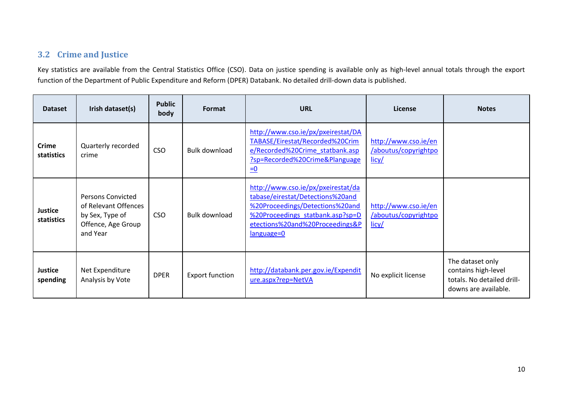## **3.2 Crime and Justice**

Key statistics are available from the Central Statistics Office (CSO). Data on justice spending is available only as high-level annual totals through the export function of the Department of Public Expenditure and Reform (DPER) Databank. No detailed drill-down data is published.

<span id="page-9-0"></span>

| <b>Dataset</b>             | Irish dataset(s)                                                                                      | <b>Public</b><br>body | Format                 | <b>URL</b>                                                                                                                                                                                       | License                                               | <b>Notes</b>                                                                                  |
|----------------------------|-------------------------------------------------------------------------------------------------------|-----------------------|------------------------|--------------------------------------------------------------------------------------------------------------------------------------------------------------------------------------------------|-------------------------------------------------------|-----------------------------------------------------------------------------------------------|
| <b>Crime</b><br>statistics | Quarterly recorded<br>crime                                                                           | <b>CSO</b>            | Bulk download          | http://www.cso.ie/px/pxeirestat/DA<br>TABASE/Eirestat/Recorded%20Crim<br>e/Recorded%20Crime statbank.asp<br>?sp=Recorded%20Crime&Planguage<br>$\equiv 0$                                         | http://www.cso.ie/en<br>/aboutus/copyrightpo<br>licy/ |                                                                                               |
| Justice<br>statistics      | <b>Persons Convicted</b><br>of Relevant Offences<br>by Sex, Type of<br>Offence, Age Group<br>and Year | <b>CSO</b>            | <b>Bulk download</b>   | http://www.cso.ie/px/pxeirestat/da<br>tabase/eirestat/Detections%20and<br>%20Proceedings/Detections%20and<br>%20Proceedings statbank.asp?sp=D<br>etections%20and%20Proceedings&P<br>$language=0$ | http://www.cso.ie/en<br>/aboutus/copyrightpo<br>licy/ |                                                                                               |
| <b>Justice</b><br>spending | Net Expenditure<br>Analysis by Vote                                                                   | <b>DPER</b>           | <b>Export function</b> | http://databank.per.gov.ie/Expendit<br>ure.aspx?rep=NetVA                                                                                                                                        | No explicit license                                   | The dataset only<br>contains high-level<br>totals. No detailed drill-<br>downs are available. |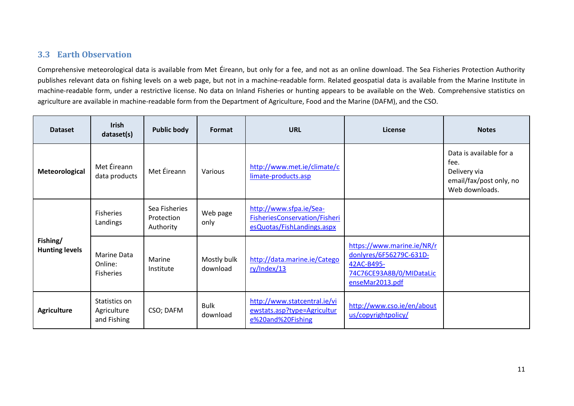## **3.3 Earth Observation**

Comprehensive meteorological data is available from Met Éireann, but only for a fee, and not as an online download. The Sea Fisheries Protection Authority publishes relevant data on fishing levels on a web page, but not in a machine-readable form. Related geospatial data is available from the Marine Institute in machine-readable form, under a restrictive license. No data on Inland Fisheries or hunting appears to be available on the Web. Comprehensive statistics on agriculture are available in machine-readable form from the Department of Agriculture, Food and the Marine (DAFM), and the CSO.

<span id="page-10-0"></span>

| <b>Dataset</b>                    | <b>Irish</b><br>dataset(s)                  | <b>Public body</b>                       | Format                  | <b>URL</b>                                                                             | License                                                                                                            | <b>Notes</b>                                                                                 |
|-----------------------------------|---------------------------------------------|------------------------------------------|-------------------------|----------------------------------------------------------------------------------------|--------------------------------------------------------------------------------------------------------------------|----------------------------------------------------------------------------------------------|
| Meteorological                    | Met Éireann<br>data products                | Met Éireann                              | Various                 | http://www.met.ie/climate/c<br>limate-products.asp                                     |                                                                                                                    | Data is available for a<br>fee.<br>Delivery via<br>email/fax/post only, no<br>Web downloads. |
|                                   | Fisheries<br>Landings                       | Sea Fisheries<br>Protection<br>Authority | Web page<br>only        | http://www.sfpa.ie/Sea-<br>FisheriesConservation/Fisheri<br>esQuotas/FishLandings.aspx |                                                                                                                    |                                                                                              |
| Fishing/<br><b>Hunting levels</b> | Marine Data<br>Online:<br>Fisheries         | Marine<br>Institute                      | Mostly bulk<br>download | http://data.marine.ie/Catego<br>ry/Index/13                                            | https://www.marine.ie/NR/r<br>donlyres/6F56279C-631D-<br>42AC-B495-<br>74C76CE93A8B/0/MIDataLic<br>enseMar2013.pdf |                                                                                              |
| <b>Agriculture</b>                | Statistics on<br>Agriculture<br>and Fishing | CSO; DAFM                                | <b>Bulk</b><br>download | http://www.statcentral.ie/vi<br>ewstats.asp?type=Agricultur<br>e%20and%20Fishing       | http://www.cso.ie/en/about<br>us/copyrightpolicy/                                                                  |                                                                                              |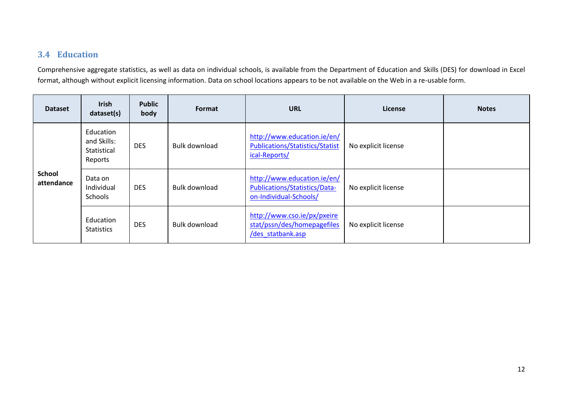## **3.4 Education**

Comprehensive aggregate statistics, as well as data on individual schools, is available from the Department of Education and Skills (DES) for download in Excel format, although without explicit licensing information. Data on school locations appears to be not available on the Web in a re-usable form.

<span id="page-11-0"></span>

| <b>Dataset</b>              | <b>Irish</b><br>dataset(s)                         | <b>Public</b><br>body | Format               | <b>URL</b>                                                                             | License             | <b>Notes</b> |
|-----------------------------|----------------------------------------------------|-----------------------|----------------------|----------------------------------------------------------------------------------------|---------------------|--------------|
|                             | Education<br>and Skills:<br>Statistical<br>Reports | <b>DES</b>            | <b>Bulk download</b> | http://www.education.ie/en/<br><b>Publications/Statistics/Statist</b><br>ical-Reports/ | No explicit license |              |
| <b>School</b><br>attendance | Data on<br>Individual<br>Schools                   | <b>DES</b>            | <b>Bulk download</b> | http://www.education.ie/en/<br>Publications/Statistics/Data-<br>on-Individual-Schools/ | No explicit license |              |
|                             | Education<br><b>Statistics</b>                     | <b>DES</b>            | <b>Bulk download</b> | http://www.cso.ie/px/pxeire<br>stat/pssn/des/homepagefiles<br>/des_statbank.asp        | No explicit license |              |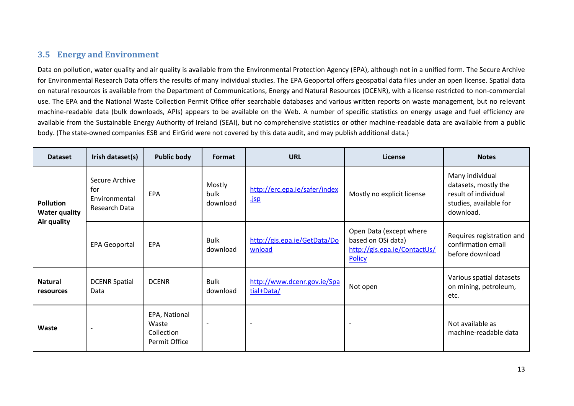## **3.5 Energy and Environment**

Data on pollution, water quality and air quality is available from the Environmental Protection Agency (EPA), although not in a unified form. The Secure Archive for Environmental Research Data offers the results of many individual studies. The EPA Geoportal offers geospatial data files under an open license. Spatial data on natural resources is available from the Department of Communications, Energy and Natural Resources (DCENR), with a license restricted to non-commercial use. The EPA and the National Waste Collection Permit Office offer searchable databases and various written reports on waste management, but no relevant machine-readable data (bulk downloads, APIs) appears to be available on the Web. A number of specific statistics on energy usage and fuel efficiency are available from the Sustainable Energy Authority of Ireland (SEAI), but no comprehensive statistics or other machine-readable data are available from a public body. (The state-owned companies ESB and EirGrid were not covered by this data audit, and may publish additional data.)

<span id="page-12-0"></span>

| <b>Dataset</b>                           | Irish dataset(s)                                               | <b>Public body</b>                                    | Format                     | <b>URL</b>                                   | License                                                                                 | <b>Notes</b>                                                                                           |
|------------------------------------------|----------------------------------------------------------------|-------------------------------------------------------|----------------------------|----------------------------------------------|-----------------------------------------------------------------------------------------|--------------------------------------------------------------------------------------------------------|
| <b>Pollution</b><br><b>Water quality</b> | Secure Archive<br>for<br><b>Fnvironmental</b><br>Research Data | <b>EPA</b>                                            | Mostly<br>bulk<br>download | http://erc.epa.ie/safer/index<br><u>.jsp</u> | Mostly no explicit license                                                              | Many individual<br>datasets, mostly the<br>result of individual<br>studies, available for<br>download. |
| Air quality                              | <b>EPA Geoportal</b>                                           | EPA                                                   | <b>Bulk</b><br>download    | http://gis.epa.ie/GetData/Do<br>wnload       | Open Data (except where<br>based on OSi data)<br>http://gis.epa.ie/ContactUs/<br>Policy | Requires registration and<br>confirmation email<br>before download                                     |
| <b>Natural</b><br>resources              | <b>DCENR Spatial</b><br>Data                                   | <b>DCENR</b>                                          | <b>Bulk</b><br>download    | http://www.dcenr.gov.ie/Spa<br>tial+Data/    | Not open                                                                                | Various spatial datasets<br>on mining, petroleum,<br>etc.                                              |
| Waste                                    |                                                                | EPA, National<br>Waste<br>Collection<br>Permit Office | $\overline{\phantom{a}}$   | $\overline{\phantom{a}}$                     | $\overline{\phantom{0}}$                                                                | Not available as<br>machine-readable data                                                              |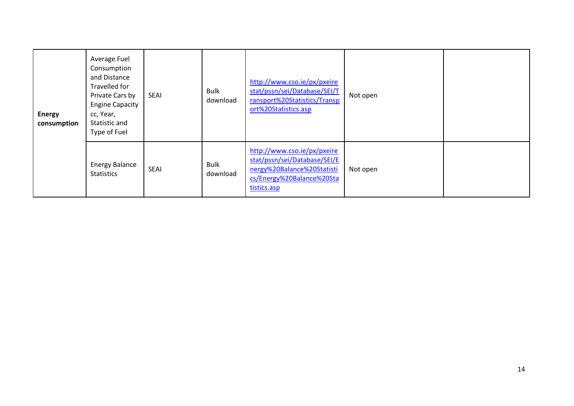| <b>Energy</b><br>consumption | Average Fuel<br>Consumption<br>and Distance<br>Travelled for<br>Private Cars by<br><b>Engine Capacity</b><br>cc, Year,<br>Statistic and<br>Type of Fuel | <b>SEAI</b> | <b>Bulk</b><br>download | http://www.cso.ie/px/pxeire<br>stat/pssn/sei/Database/SEI/T<br>ransport%20Statistics/Transp<br>ort%20Statistics.asp                   | Not open |  |
|------------------------------|---------------------------------------------------------------------------------------------------------------------------------------------------------|-------------|-------------------------|---------------------------------------------------------------------------------------------------------------------------------------|----------|--|
|                              | <b>Energy Balance</b><br><b>Statistics</b>                                                                                                              | <b>SEAI</b> | <b>Bulk</b><br>download | http://www.cso.ie/px/pxeire<br>stat/pssn/sei/Database/SEI/E<br>nergy%20Balance%20Statisti<br>cs/Energy%20Balance%20Sta<br>tistics.asp | Not open |  |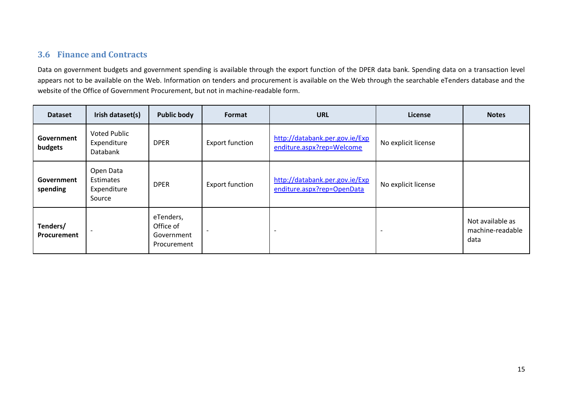## **3.6 Finance and Contracts**

Data on government budgets and government spending is available through the export function of the DPER data bank. Spending data on a transaction level appears not to be available on the Web. Information on tenders and procurement is available on the Web through the searchable eTenders database and the website of the Office of Government Procurement, but not in machine-readable form.

<span id="page-14-0"></span>

| <b>Dataset</b>          | Irish dataset(s)                                       | <b>Public body</b>                                  | Format                 | <b>URL</b>                                                   | License                  | <b>Notes</b>                                 |
|-------------------------|--------------------------------------------------------|-----------------------------------------------------|------------------------|--------------------------------------------------------------|--------------------------|----------------------------------------------|
| Government<br>budgets   | <b>Voted Public</b><br>Expenditure<br>Databank         | <b>DPER</b>                                         | <b>Export function</b> | http://databank.per.gov.ie/Exp<br>enditure.aspx?rep=Welcome  | No explicit license      |                                              |
| Government<br>spending  | Open Data<br><b>Estimates</b><br>Expenditure<br>Source | <b>DPER</b>                                         | <b>Export function</b> | http://databank.per.gov.ie/Exp<br>enditure.aspx?rep=OpenData | No explicit license      |                                              |
| Tenders/<br>Procurement |                                                        | eTenders,<br>Office of<br>Government<br>Procurement |                        |                                                              | $\overline{\phantom{a}}$ | Not available as<br>machine-readable<br>data |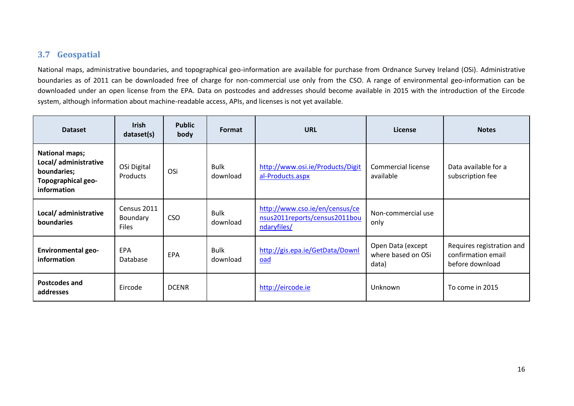## **3.7 Geospatial**

National maps, administrative boundaries, and topographical geo-information are available for purchase from Ordnance Survey Ireland (OSi). Administrative boundaries as of 2011 can be downloaded free of charge for non-commercial use only from the CSO. A range of environmental geo-information can be downloaded under an open license from the EPA. Data on postcodes and addresses should become available in 2015 with the introduction of the Eircode system, although information about machine-readable access, APIs, and licenses is not yet available.

<span id="page-15-0"></span>

| <b>Dataset</b>                                                                                            | <b>Irish</b><br>dataset(s)              | <b>Public</b><br>body | Format                  | <b>URL</b>                                                                     | License                                          | <b>Notes</b>                                                       |
|-----------------------------------------------------------------------------------------------------------|-----------------------------------------|-----------------------|-------------------------|--------------------------------------------------------------------------------|--------------------------------------------------|--------------------------------------------------------------------|
| <b>National maps;</b><br>Local/ administrative<br>boundaries;<br><b>Topographical geo-</b><br>information | OSi Digital<br>Products                 | OSi                   | Bulk<br>download        | http://www.osi.ie/Products/Digit<br>al-Products.aspx                           | <b>Commercial license</b><br>available           | Data available for a<br>subscription fee                           |
| Local/administrative<br><b>boundaries</b>                                                                 | Census 2011<br>Boundary<br><b>Files</b> | <b>CSO</b>            | Bulk<br>download        | http://www.cso.ie/en/census/ce<br>nsus2011reports/census2011bou<br>ndaryfiles/ | Non-commercial use<br>only                       |                                                                    |
| <b>Environmental geo-</b><br>information                                                                  | EPA<br>Database                         | EPA                   | <b>Bulk</b><br>download | http://gis.epa.ie/GetData/Downl<br>oad                                         | Open Data (except<br>where based on OSi<br>data) | Requires registration and<br>confirmation email<br>before download |
| Postcodes and<br>addresses                                                                                | Eircode                                 | <b>DCENR</b>          |                         | http://eircode.ie                                                              | Unknown                                          | To come in 2015                                                    |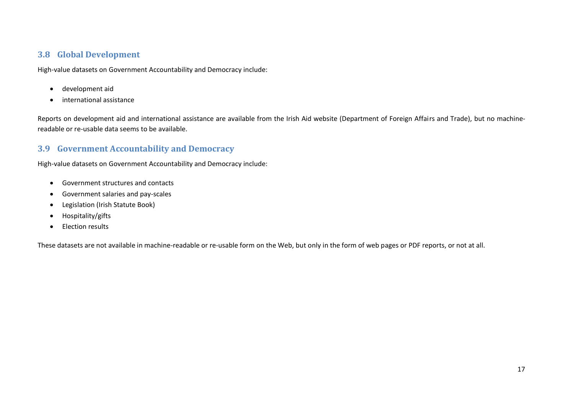#### **3.8 Global Development**

High-value datasets on Government Accountability and Democracy include:

- development aid
- international assistance

Reports on development aid and international assistance are available from the Irish Aid website (Department of Foreign Affairs and Trade), but no machinereadable or re-usable data seems to be available.

## **3.9 Government Accountability and Democracy**

High-value datasets on Government Accountability and Democracy include:

- Government structures and contacts
- Government salaries and pay-scales
- Legislation (Irish Statute Book)
- <span id="page-16-0"></span>• Hospitality/gifts
- Election results

<span id="page-16-1"></span>These datasets are not available in machine-readable or re-usable form on the Web, but only in the form of web pages or PDF reports, or not at all.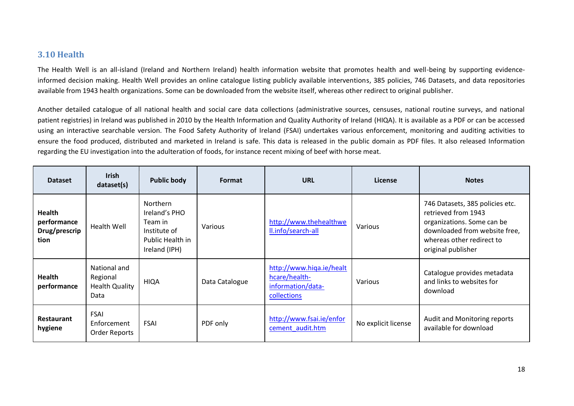## **3.10 Health**

The Health Well is an all-island (Ireland and Northern Ireland) health information website that promotes health and well-being by supporting evidenceinformed decision making. Health Well provides an online catalogue listing publicly available interventions, 385 policies, 746 Datasets, and data repositories available from 1943 health organizations. Some can be downloaded from the website itself, whereas other redirect to original publisher.

Another detailed catalogue of all national health and social care data collections (administrative sources, censuses, national routine surveys, and national patient registries) in Ireland was published in 2010 by the Health Information and Quality Authority of Ireland (HIQA). It is available as a PDF or can be accessed using an interactive searchable version. The Food Safety Authority of Ireland (FSAI) undertakes various enforcement, monitoring and auditing activities to ensure the food produced, distributed and marketed in Ireland is safe. This data is released in the public domain as PDF files. It also released Information regarding the EU investigation into the adulteration of foods, for instance recent mixing of beef with horse meat.

<span id="page-17-0"></span>

| <b>Dataset</b>                                        | <b>Irish</b><br>dataset(s)                                | <b>Public body</b>                                                                        | Format         | <b>URL</b>                                                                    | License             | <b>Notes</b>                                                                                                                                                             |
|-------------------------------------------------------|-----------------------------------------------------------|-------------------------------------------------------------------------------------------|----------------|-------------------------------------------------------------------------------|---------------------|--------------------------------------------------------------------------------------------------------------------------------------------------------------------------|
| <b>Health</b><br>performance<br>Drug/prescrip<br>tion | <b>Health Well</b>                                        | Northern<br>Ireland's PHO<br>Team in<br>Institute of<br>Public Health in<br>Ireland (IPH) | Various        | http://www.thehealthwe<br>II.info/search-all                                  | Various             | 746 Datasets, 385 policies etc.<br>retrieved from 1943<br>organizations. Some can be<br>downloaded from website free,<br>whereas other redirect to<br>original publisher |
| <b>Health</b><br>performance                          | National and<br>Regional<br><b>Health Quality</b><br>Data | <b>HIQA</b>                                                                               | Data Catalogue | http://www.higa.ie/healt<br>hcare/health-<br>information/data-<br>collections | Various             | Catalogue provides metadata<br>and links to websites for<br>download                                                                                                     |
| Restaurant<br>hygiene                                 | <b>FSAI</b><br>Enforcement<br>Order Reports               | <b>FSAI</b>                                                                               | PDF only       | http://www.fsai.ie/enfor<br>cement audit.htm                                  | No explicit license | Audit and Monitoring reports<br>available for download                                                                                                                   |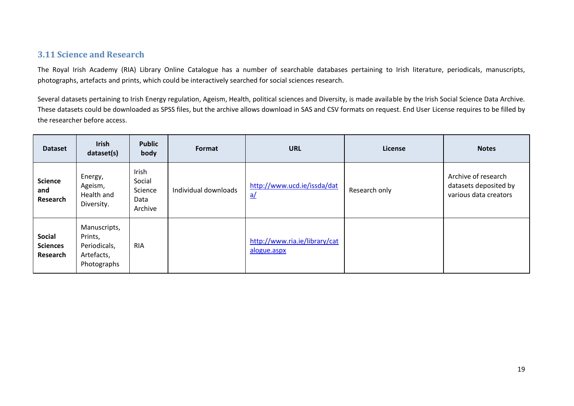## **3.11 Science and Research**

The Royal Irish Academy (RIA) Library Online Catalogue has a number of searchable databases pertaining to Irish literature, periodicals, manuscripts, photographs, artefacts and prints, which could be interactively searched for social sciences research.

Several datasets pertaining to Irish Energy regulation, Ageism, Health, political sciences and Diversity, is made available by the Irish Social Science Data Archive. These datasets could be downloaded as SPSS files, but the archive allows download in SAS and CSV formats on request. End User License requires to be filled by the researcher before access.

<span id="page-18-0"></span>

| <b>Dataset</b>                               | <b>Irish</b><br><b>Public</b><br>Format<br>dataset(s)<br>body        |                                               | <b>URL</b>           | License                                        | <b>Notes</b>  |                                                                       |
|----------------------------------------------|----------------------------------------------------------------------|-----------------------------------------------|----------------------|------------------------------------------------|---------------|-----------------------------------------------------------------------|
| <b>Science</b><br>and<br>Research            | Energy,<br>Ageism,<br>Health and<br>Diversity.                       | Irish<br>Social<br>Science<br>Data<br>Archive | Individual downloads | http://www.ucd.ie/issda/dat<br>$\underline{a}$ | Research only | Archive of research<br>datasets deposited by<br>various data creators |
| <b>Social</b><br><b>Sciences</b><br>Research | Manuscripts,<br>Prints,<br>Periodicals,<br>Artefacts,<br>Photographs | <b>RIA</b>                                    |                      | http://www.ria.ie/library/cat<br>alogue.aspx   |               |                                                                       |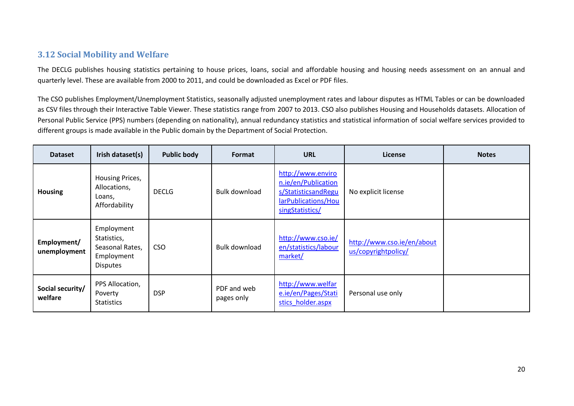## **3.12 Social Mobility and Welfare**

The DECLG publishes housing statistics pertaining to house prices, loans, social and affordable housing and housing needs assessment on an annual and quarterly level. These are available from 2000 to 2011, and could be downloaded as Excel or PDF files.

The CSO publishes Employment/Unemployment Statistics, seasonally adjusted unemployment rates and labour disputes as HTML Tables or can be downloaded as CSV files through their Interactive Table Viewer. These statistics range from 2007 to 2013. CSO also publishes Housing and Households datasets. Allocation of Personal Public Service (PPS) numbers (depending on nationality), annual redundancy statistics and statistical information of social welfare services provided to different groups is made available in the Public domain by the Department of Social Protection.

<span id="page-19-0"></span>

| <b>Dataset</b>              | Irish dataset(s)                                                              | <b>Public body</b> | Format                    | <b>URL</b>                                                                                                | License                                           | <b>Notes</b> |
|-----------------------------|-------------------------------------------------------------------------------|--------------------|---------------------------|-----------------------------------------------------------------------------------------------------------|---------------------------------------------------|--------------|
| <b>Housing</b>              | Housing Prices,<br>Allocations,<br>Loans,<br>Affordability                    | <b>DECLG</b>       | <b>Bulk download</b>      | http://www.enviro<br>n.ie/en/Publication<br>s/StatisticsandRegu<br>larPublications/Hou<br>singStatistics/ | No explicit license                               |              |
| Employment/<br>unemployment | Employment<br>Statistics,<br>Seasonal Rates,<br>Employment<br><b>Disputes</b> | <b>CSO</b>         | Bulk download             | http://www.cso.ie/<br>en/statistics/labour<br>market/                                                     | http://www.cso.ie/en/about<br>us/copyrightpolicy/ |              |
| Social security/<br>welfare | PPS Allocation,<br>Poverty<br><b>Statistics</b>                               | <b>DSP</b>         | PDF and web<br>pages only | http://www.welfar<br>e.ie/en/Pages/Stati<br>stics holder.aspx                                             | Personal use only                                 |              |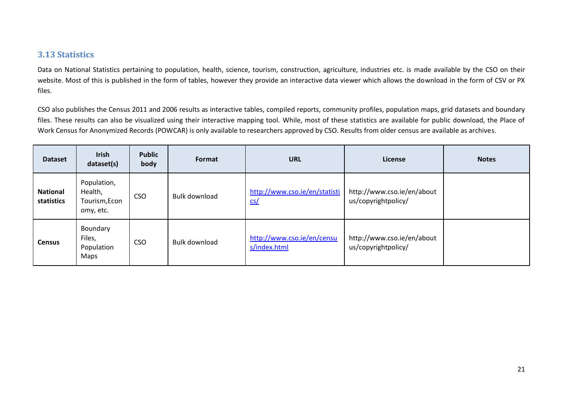## **3.13 Statistics**

Data on National Statistics pertaining to population, health, science, tourism, construction, agriculture, industries etc. is made available by the CSO on their website. Most of this is published in the form of tables, however they provide an interactive data viewer which allows the download in the form of CSV or PX files.

CSO also publishes the Census 2011 and 2006 results as interactive tables, compiled reports, community profiles, population maps, grid datasets and boundary files. These results can also be visualized using their interactive mapping tool. While, most of these statistics are available for public download, the Place of Work Census for Anonymized Records (POWCAR) is only available to researchers approved by CSO. Results from older census are available as archives.

<span id="page-20-0"></span>

| <b>Dataset</b>                | Irish<br>dataset(s)                                  | <b>Public</b><br>body | Format        | <b>URL</b>                                 | License                                           | <b>Notes</b> |
|-------------------------------|------------------------------------------------------|-----------------------|---------------|--------------------------------------------|---------------------------------------------------|--------------|
| <b>National</b><br>statistics | Population,<br>Health,<br>Tourism, Econ<br>omy, etc. | <b>CSO</b>            | Bulk download | http://www.cso.ie/en/statisti<br>cs/       | http://www.cso.ie/en/about<br>us/copyrightpolicy/ |              |
| <b>Census</b>                 | Boundary<br>Files,<br>Population<br>Maps             | <b>CSO</b>            | Bulk download | http://www.cso.ie/en/censu<br>s/index.html | http://www.cso.ie/en/about<br>us/copyrightpolicy/ |              |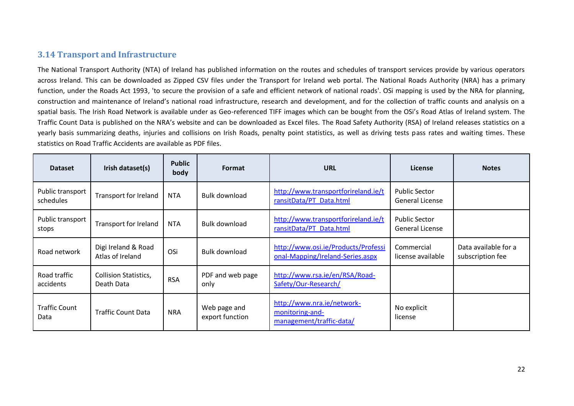## **3.14 Transport and Infrastructure**

The National Transport Authority (NTA) of Ireland has published information on the routes and schedules of transport services provide by various operators across Ireland. This can be downloaded as Zipped CSV files under the Transport for Ireland web portal. The National Roads Authority (NRA) has a primary function, under the Roads Act 1993, 'to secure the provision of a safe and efficient network of national roads'. OSi mapping is used by the NRA for planning, construction and maintenance of Ireland's national road infrastructure, research and development, and for the collection of traffic counts and analysis on a spatial basis. The Irish Road Network is available under as Geo-referenced TIFF images which can be bought from the OSi's Road Atlas of Ireland system. The Traffic Count Data is published on the NRA's website and can be downloaded as Excel files. The Road Safety Authority (RSA) of Ireland releases statistics on a yearly basis summarizing deaths, injuries and collisions on Irish Roads, penalty point statistics, as well as driving tests pass rates and waiting times. These statistics on Road Traffic Accidents are available as PDF files.

<span id="page-21-0"></span>

| <b>Dataset</b>                | Irish dataset(s)                           | <b>Public</b><br>body | Format                          | <b>URL</b>                                                                | License                                        | <b>Notes</b>                             |
|-------------------------------|--------------------------------------------|-----------------------|---------------------------------|---------------------------------------------------------------------------|------------------------------------------------|------------------------------------------|
| Public transport<br>schedules | Transport for Ireland                      | NTA                   | Bulk download                   | http://www.transportforireland.ie/t<br>ransitData/PT Data.html            | <b>Public Sector</b><br><b>General License</b> |                                          |
| Public transport<br>stops     | Transport for Ireland                      | NTA                   | Bulk download                   | http://www.transportforireland.ie/t<br>ransitData/PT Data.html            | <b>Public Sector</b><br>General License        |                                          |
| Road network                  | Digi Ireland & Road<br>Atlas of Ireland    | OSi                   | <b>Bulk download</b>            | http://www.osi.ie/Products/Professi<br>onal-Mapping/Ireland-Series.aspx   | Commercial<br>license available                | Data available for a<br>subscription fee |
| Road traffic<br>accidents     | <b>Collision Statistics,</b><br>Death Data | <b>RSA</b>            | PDF and web page<br>only        | http://www.rsa.ie/en/RSA/Road-<br>Safety/Our-Research/                    |                                                |                                          |
| <b>Traffic Count</b><br>Data  | <b>Traffic Count Data</b>                  | <b>NRA</b>            | Web page and<br>export function | http://www.nra.ie/network-<br>monitoring-and-<br>management/traffic-data/ | No explicit<br>license                         |                                          |